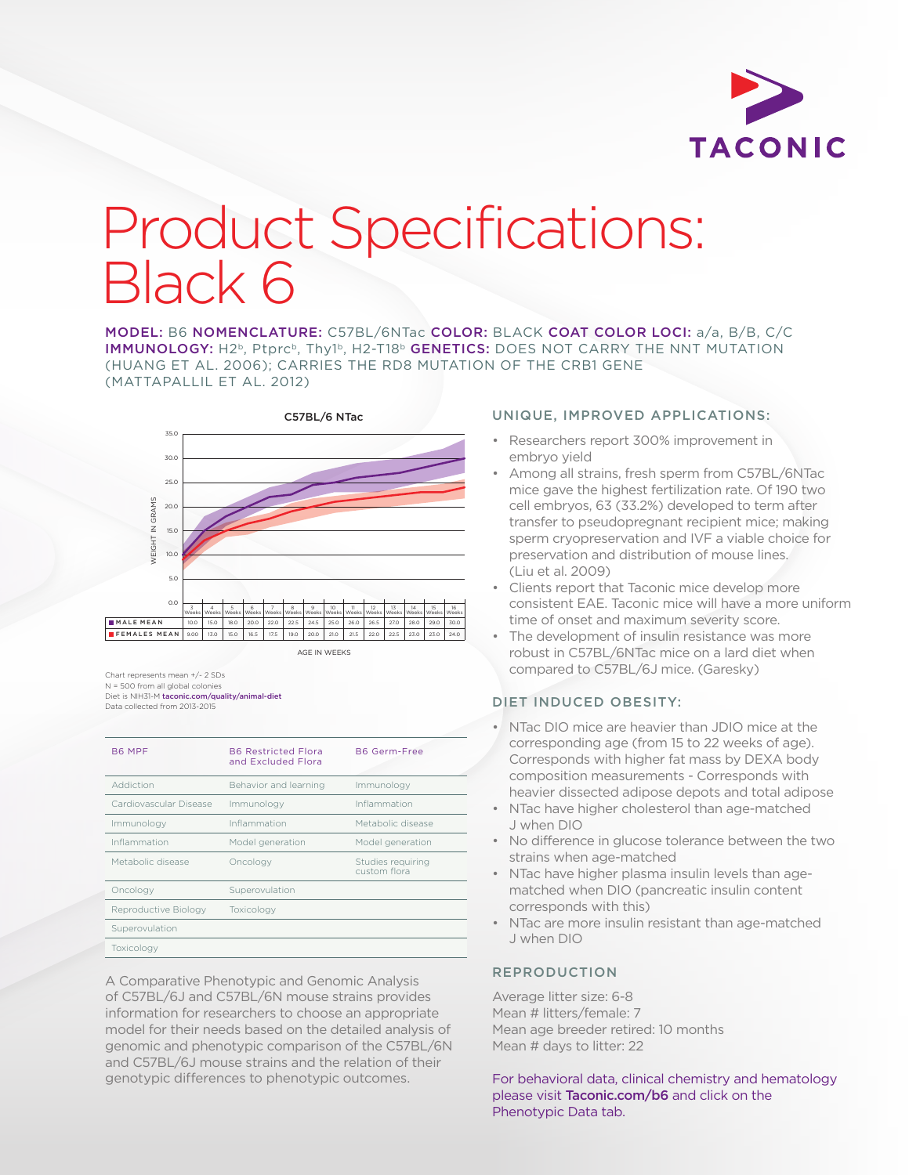

# Product Specifications: Black 6

MODEL: B6 NOMENCLATURE: C57BL/6NTac COLOR: BLACK COAT COLOR LOCI: a/a, B/B, C/C IMMUNOLOGY: H<sub>2</sub>b, Ptprcb, Thy1b, H<sub>2</sub>-T18b GENETICS: DOES NOT CARRY THE NNT MUTATION (HUANG ET AL. 2006); CARRIES THE RD8 MUTATION OF THE CRB1 GENE (MATTAPALLIL ET AL. 2012)



Chart represents mean +/- 2 SDs N = 500 from all global colonies Diet is NIH31-M [taconic.com/quality/animal-diet](http://www.taconic.com/quality/animal-diet) Data collected from 2013-2015

M A L E F E M A L E

| B6 MPF                 | <b>B6 Restricted Flora</b><br>and Excluded Flora | <b>B6 Germ-Free</b>               |
|------------------------|--------------------------------------------------|-----------------------------------|
| Addiction              | Behavior and learning                            | Immunology                        |
| Cardiovascular Disease | Immunology                                       | Inflammation                      |
| Immunology             | Inflammation                                     | Metabolic disease                 |
| Inflammation           | Model generation                                 | Model generation                  |
| Metabolic disease      | Oncology                                         | Studies requiring<br>custom flora |
| Oncology               | Superovulation                                   |                                   |
| Reproductive Biology   | Toxicology                                       |                                   |
| Superovulation         |                                                  |                                   |
| Toxicology             |                                                  |                                   |

A Comparative Phenotypic and Genomic Analysis of C57BL/6J and C57BL/6N mouse strains provides information for researchers to choose an appropriate model for their needs based on the detailed analysis of genomic and phenotypic comparison of the C57BL/6N and C57BL/6J mouse strains and the relation of their genotypic differences to phenotypic outcomes.

### UNIQUE, IMPROVED APPLICATIONS:

- embryo yield 35 • Researchers report 300% improvement in
- preservation and distribution of mouse lines. transfer to pseudopregnant recipient mice; making cell embryos, 63 (33.2%) developed to term after 25 mice gave the highest fertilization rate. Of 190 two • Among all strains, fresh sperm from C57BL/6NTac sperm cryopreservation and IVF a viable choice for (Liu et al. 2009)
- $\frac{1}{160}$  consistent EAE. Taconic mice will have a more uniform • Clients report that Taconic mice develop more time of onset and maximum severity score.
	- The development of insulin resistance was more robust in C57BL/6NTac mice on a lard diet when compared to C57BL/6J mice. (Garesky)

# DIET INDUCED OBESITY:

- NTac DIO mice are heavier than JDIO mice at the corresponding age (from 15 to 22 weeks of age). Corresponds with higher fat mass by DEXA body composition measurements - Corresponds with heavier dissected adipose depots and total adipose
- NTac have higher cholesterol than age-matched J when DIO
- No difference in glucose tolerance between the two strains when age-matched
- NTac have higher plasma insulin levels than agematched when DIO (pancreatic insulin content corresponds with this)
- NTac are more insulin resistant than age-matched J when DIO

# REPRODUCTION

Average litter size: 6-8 Mean # litters/female: 7 Mean age breeder retired: 10 months Mean # days to litter: 22

For behavioral data, clinical chemistry and hematology please visit [Taconic.com/b6](http://www.taconic.com/b6) and click on the Phenotypic Data tab.